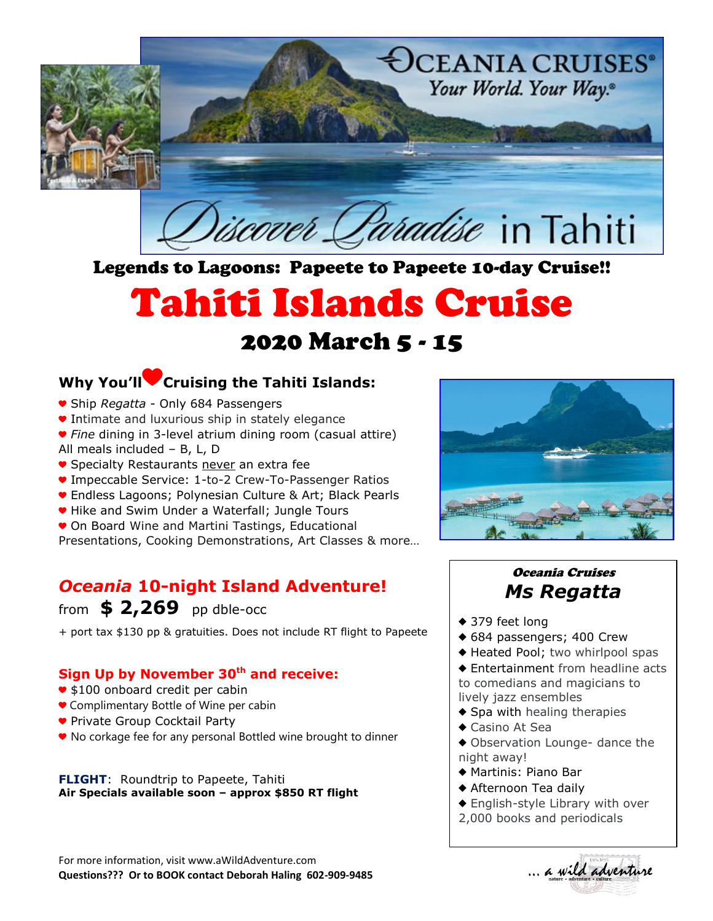

Legends to Lagoons: Papeete to Papeete 10-day Cruise!!

# Tahiti Islands Cruise

## 2020 March 5 - 15

## **Why You'll**♥**Cruising the Tahiti Islands:**

- ♥ Ship *Regatta* Only 684 Passengers
- ♥ Intimate and luxurious ship in stately elegance
- ♥ *Fine* dining in 3-level atrium dining room (casual attire) All meals included – B, L, D
- Specialty Restaurants never an extra fee
- ♥ Impeccable Service: 1-to-2 Crew-To-Passenger Ratios
- Endless Lagoons; Polynesian Culture & Art; Black Pearls
- ♥ Hike and Swim Under a Waterfall; Jungle Tours
- On Board Wine and Martini Tastings, Educational
- Presentations, Cooking Demonstrations, Art Classes & more…

## *Oceania* **10-night Island Adventure!**

## from **\$ 2,269** pp dble-occ

+ port tax \$130 pp & gratuities. Does not include RT flight to Papeete

## **Sign Up by November 30th and receive:**

- \$100 onboard credit per cabin
- Complimentary Bottle of Wine per cabin
- ♥ Private Group Cocktail Party
- ♥ No corkage fee for any personal Bottled wine brought to dinner

**FLIGHT**: Roundtrip to Papeete, Tahiti **Air Specials available soon – approx \$850 RT flight**

For more information, visit www.aWildAdventure.com **Questions??? Or to BOOK contact Deborah Haling 602-909-9485**



## Oceania Cruises *Ms Regatta*

- ◆ 379 feet long
- ♦ 684 passengers; 400 Crew
- ♦ Heated Pool; two whirlpool spas
- ♦ Entertainment from headline acts to comedians and magicians to lively jazz ensembles
- $\triangle$  Spa with healing therapies
- ♦ Casino At Sea
- ♦ Observation Lounge- dance the night away!
- ♦ Martinis: Piano Bar
- ♦ Afternoon Tea daily
- ♦ English-style Library with over
- 2,000 books and periodicals